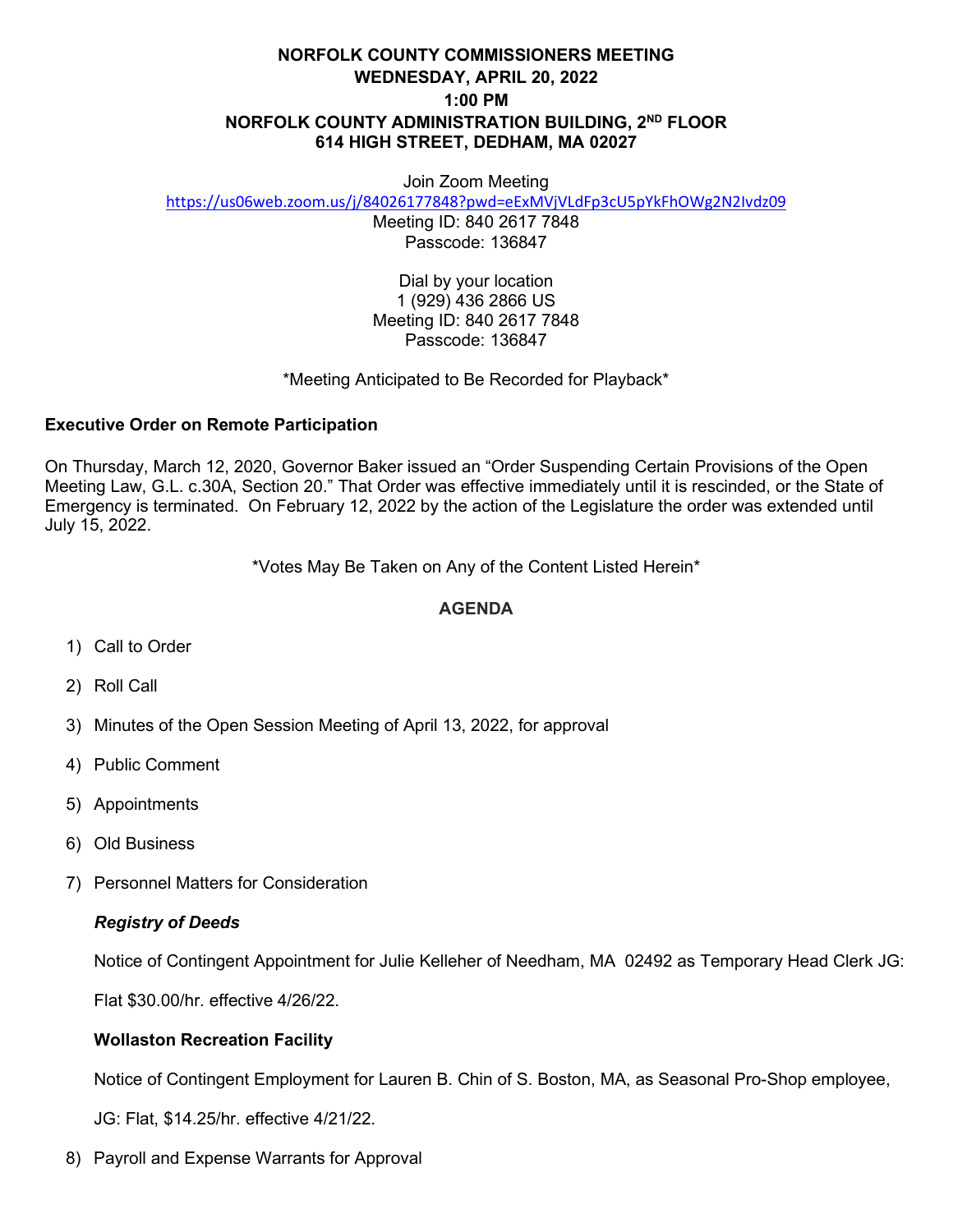# **NORFOLK COUNTY COMMISSIONERS MEETING WEDNESDAY, APRIL 20, 2022 1:00 PM NORFOLK COUNTY ADMINISTRATION BUILDING, 2ND FLOOR 614 HIGH STREET, DEDHAM, MA 02027**

#### Join Zoom Meeting

<https://us06web.zoom.us/j/84026177848?pwd=eExMVjVLdFp3cU5pYkFhOWg2N2Ivdz09>

Meeting ID: 840 2617 7848 Passcode: 136847

Dial by your location 1 (929) 436 2866 US Meeting ID: 840 2617 7848 Passcode: 136847

#### \*Meeting Anticipated to Be Recorded for Playback\*

### **Executive Order on Remote Participation**

On Thursday, March 12, 2020, Governor Baker issued an "Order Suspending Certain Provisions of the Open Meeting Law, G.L. c.30A, Section 20." That Order was effective immediately until it is rescinded, or the State of Emergency is terminated. On February 12, 2022 by the action of the Legislature the order was extended until July 15, 2022.

\*Votes May Be Taken on Any of the Content Listed Herein\*

### **AGENDA**

- 1) Call to Order
- 2) Roll Call
- 3) Minutes of the Open Session Meeting of April 13, 2022, for approval
- 4) Public Comment
- 5) Appointments
- 6) Old Business
- 7) Personnel Matters for Consideration

# *Registry of Deeds*

Notice of Contingent Appointment for Julie Kelleher of Needham, MA 02492 as Temporary Head Clerk JG:

Flat \$30.00/hr. effective 4/26/22.

# **Wollaston Recreation Facility**

Notice of Contingent Employment for Lauren B. Chin of S. Boston, MA, as Seasonal Pro-Shop employee,

JG: Flat, \$14.25/hr. effective 4/21/22.

8) Payroll and Expense Warrants for Approval